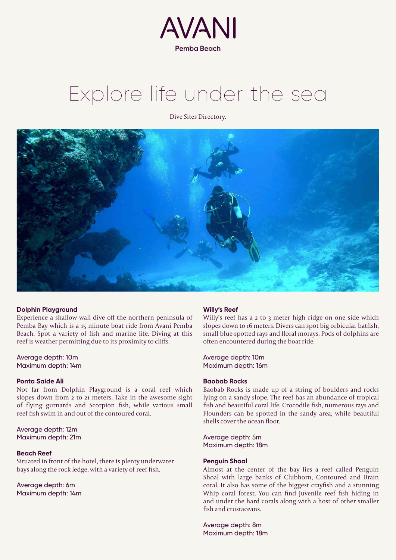

# Explore life under the sea

Dive Sites Directory.



# **Dolphin Playground**

Experience a shallow wall dive off the northern peninsula of Pemba Bay which is a 15 minute boat ride from Avani Pemba Beach. Spot a variety of fish and marine life. Diving at this reef is weather permitting due to its proximity to cliffs.

Average depth: 10m Maximum depth: 14m

## **Ponta Saide Ali**

Not far from Dolphin Playground is a coral reef which slopes down from 2 to 21 meters. Take in the awesome sight of flying gurnards and Scorpion fish, while various small reef fish swim in and out of the contoured coral.

Average depth: 12m Maximum depth: 21m

#### **Beach Reef**

Situated in front of the hotel, there is plenty underwater bays along the rock ledge, with a variety of reef fish.

Average depth: 6m Maximum depth: 14m

# **Willy's Reef**

Willy's reef has a 2 to 3 meter high ridge on one side which slopes down to 16 meters. Divers can spot big orbicular batfish, small blue-spotted rays and floral morays. Pods of dolphins are often encountered during the boat ride.

Average depth: 10m Maximum depth: 16m

## **Baobab Rocks**

Baobab Rocks is made up of a string of boulders and rocks lying on a sandy slope. The reef has an abundance of tropical fish and beautiful coral life. Crocodile fish, numerous rays and Flounders can be spotted in the sandy area, while beautiful shells cover the ocean floor.

Average depth: 5m Maximum depth: 18m

### **Penguin Shoal**

Almost at the center of the bay lies a reef called Penguin Shoal with large banks of Clubhorn, Contoured and Brain coral. It also has some of the biggest crayfish and a stunning Whip coral forest. You can find Juvenile reef fish hiding in and under the hard corals along with a host of other smaller fish and crustaceans.

Average depth: 8m Maximum depth: 18m